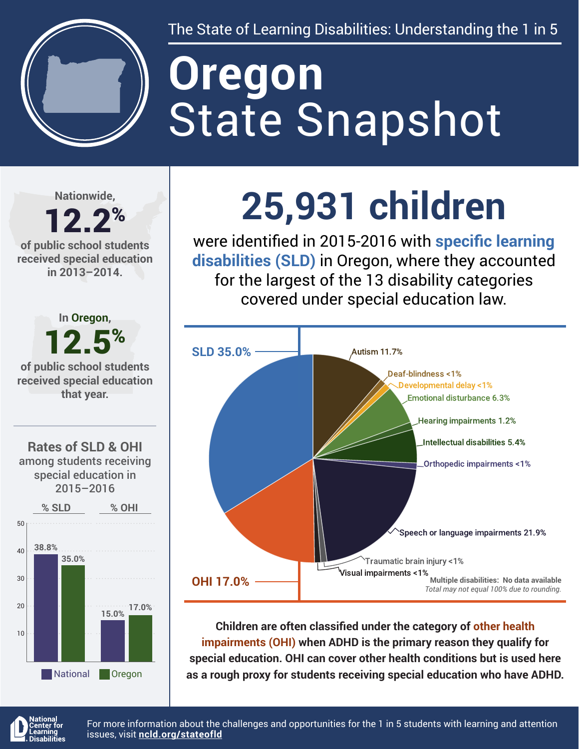

The State of Learning Disabilities: Understanding the 1 in 5

# State Snapshot **Oregon**

**Nationwide,**

#### 12.2% **of public school students received special education in 2013–2014.**



## **25,931 children**

were identified in 2015-2016 with **specific learning disabilities (SLD)** in Oregon, where they accounted for the largest of the 13 disability categories covered under special education law.



**Children are often classified under the category of other health impairments (OHI) when ADHD is the primary reason they qualify for special education. OHI can cover other health conditions but is used here as a rough proxy for students receiving special education who have ADHD.**



For more information about the challenges and opportunities for the 1 in 5 students with learning and attention issues, visit **[ncld.org/stateofld](http://ncld.org/stateofld)**